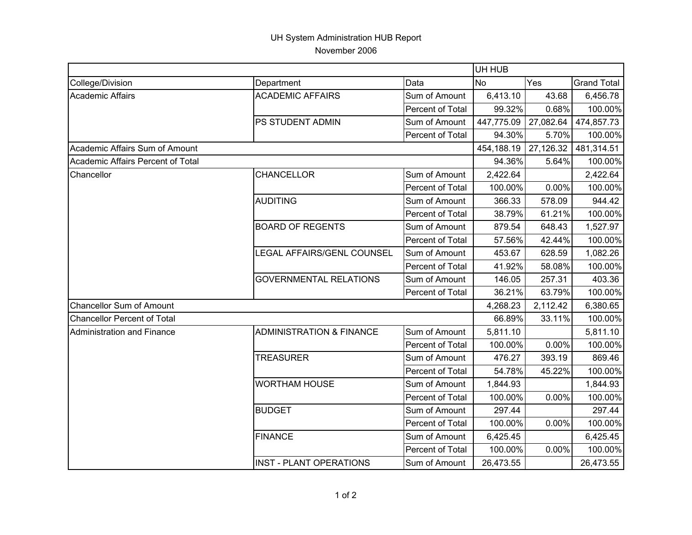## UH System Administration HUB Report November 2006

|                                    |                                     |                  |            | UH HUB    |                    |  |  |
|------------------------------------|-------------------------------------|------------------|------------|-----------|--------------------|--|--|
| College/Division                   | Department                          | Data             | <b>No</b>  | Yes       | <b>Grand Total</b> |  |  |
| <b>Academic Affairs</b>            | <b>ACADEMIC AFFAIRS</b>             | Sum of Amount    | 6,413.10   | 43.68     | 6,456.78           |  |  |
|                                    |                                     | Percent of Total | 99.32%     | 0.68%     | 100.00%            |  |  |
|                                    | PS STUDENT ADMIN                    | Sum of Amount    | 447,775.09 | 27,082.64 | 474,857.73         |  |  |
|                                    |                                     | Percent of Total | 94.30%     | 5.70%     | 100.00%            |  |  |
| Academic Affairs Sum of Amount     |                                     |                  | 454,188.19 | 27,126.32 | 481,314.51         |  |  |
| Academic Affairs Percent of Total  |                                     |                  | 94.36%     | 5.64%     | 100.00%            |  |  |
| Chancellor                         | <b>CHANCELLOR</b>                   | Sum of Amount    | 2,422.64   |           | 2,422.64           |  |  |
|                                    |                                     | Percent of Total | 100.00%    | 0.00%     | 100.00%            |  |  |
|                                    | <b>AUDITING</b>                     | Sum of Amount    | 366.33     | 578.09    | 944.42             |  |  |
|                                    |                                     | Percent of Total | 38.79%     | 61.21%    | 100.00%            |  |  |
|                                    | <b>BOARD OF REGENTS</b>             | Sum of Amount    | 879.54     | 648.43    | 1,527.97           |  |  |
|                                    |                                     | Percent of Total | 57.56%     | 42.44%    | 100.00%            |  |  |
|                                    | LEGAL AFFAIRS/GENL COUNSEL          | Sum of Amount    | 453.67     | 628.59    | 1,082.26           |  |  |
|                                    |                                     | Percent of Total | 41.92%     | 58.08%    | 100.00%            |  |  |
|                                    | <b>GOVERNMENTAL RELATIONS</b>       | Sum of Amount    | 146.05     | 257.31    | 403.36             |  |  |
|                                    |                                     | Percent of Total | 36.21%     | 63.79%    | 100.00%            |  |  |
| Chancellor Sum of Amount           |                                     |                  | 4,268.23   | 2,112.42  | 6,380.65           |  |  |
| <b>Chancellor Percent of Total</b> |                                     |                  | 66.89%     | 33.11%    | 100.00%            |  |  |
| Administration and Finance         | <b>ADMINISTRATION &amp; FINANCE</b> | Sum of Amount    | 5,811.10   |           | 5,811.10           |  |  |
|                                    |                                     | Percent of Total | 100.00%    | 0.00%     | 100.00%            |  |  |
|                                    | <b>TREASURER</b>                    | Sum of Amount    | 476.27     | 393.19    | 869.46             |  |  |
|                                    |                                     | Percent of Total | 54.78%     | 45.22%    | 100.00%            |  |  |
|                                    | <b>WORTHAM HOUSE</b>                | Sum of Amount    | 1,844.93   |           | 1,844.93           |  |  |
|                                    |                                     | Percent of Total | 100.00%    | 0.00%     | 100.00%            |  |  |
|                                    | <b>BUDGET</b>                       | Sum of Amount    | 297.44     |           | 297.44             |  |  |
|                                    |                                     | Percent of Total | 100.00%    | 0.00%     | 100.00%            |  |  |
|                                    | <b>FINANCE</b>                      | Sum of Amount    | 6,425.45   |           | 6,425.45           |  |  |
|                                    |                                     | Percent of Total | 100.00%    | 0.00%     | 100.00%            |  |  |
|                                    | <b>INST - PLANT OPERATIONS</b>      | Sum of Amount    | 26,473.55  |           | 26,473.55          |  |  |